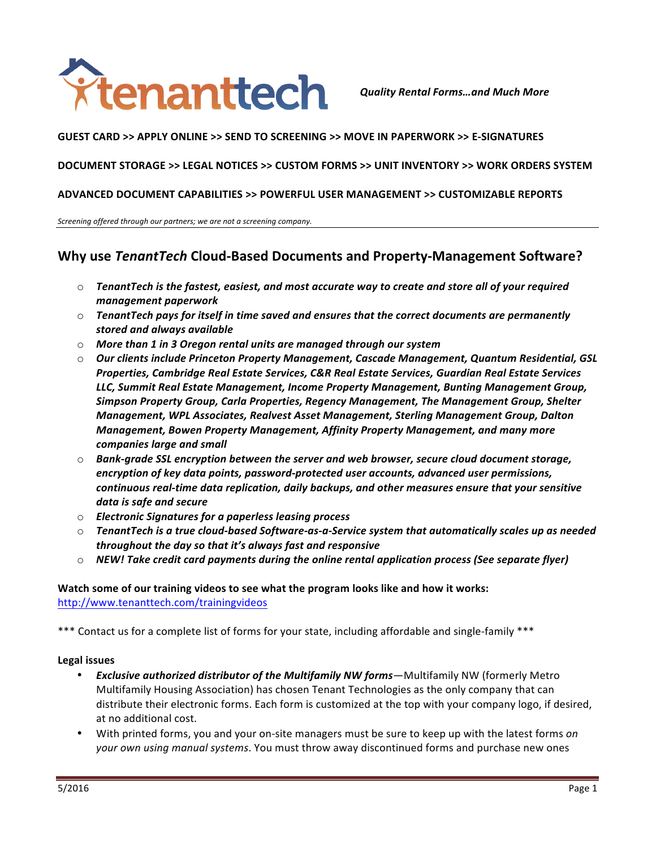

#### GUEST CARD >> APPLY ONLINE >> SEND TO SCREENING >> MOVE IN PAPERWORK >> E-SIGNATURES

#### **DOCUMENT STORAGE >> LEGAL NOTICES >> CUSTOM FORMS >> UNIT INVENTORY >> WORK ORDERS SYSTEM**

#### **ADVANCED DOCUMENT CAPABILITIES >> POWERFUL USER MANAGEMENT >> CUSTOMIZABLE REPORTS**

Screening offered through our partners; we are not a screening company.

# **Why use TenantTech Cloud-Based Documents and Property-Management Software?**

- $\circ$  **TenantTech** is the fastest, easiest, and most accurate way to create and store all of your required *management paperwork*
- $\circ$  **TenantTech pays for itself in time saved and ensures that the correct documents are permanently** *stored and always available*
- $\circ$  More than 1 in 3 Oregon rental units are managed through our system
- *Our clients include Princeton Property Management, Cascade Management, Quantum Residential, GSL Properties, Cambridge Real Estate Services, C&R Real Estate Services, Guardian Real Estate Services* LLC, Summit Real Estate Management, Income Property Management, Bunting Management Group, *Simpson Property Group, Carla Properties, Regency Management, The Management Group, Shelter Management, WPL Associates, Realvest Asset Management, Sterling Management Group, Dalton Management, Bowen Property Management, Affinity Property Management, and many more companies large and small*
- $\circ$  *Bank-grade SSL encryption between the server and web browser, secure cloud document storage, encryption of key data points, password-protected user accounts, advanced user permissions, continuous real-time data replication, daily backups, and other measures ensure that your sensitive data is safe and secure*
- o *Electronic Signatures for a paperless leasing process*
- $\circ$  **TenantTech is a true cloud-based Software-as-a-Service system that automatically scales up as needed** *throughout the day so that it's always fast and responsive*
- $\circ$  **NEW!** Take credit card payments during the online rental application process (See separate flyer)

## Watch some of our training videos to see what the program looks like and how it works: http://www.tenanttech.com/trainingvideos

\*\*\* Contact us for a complete list of forms for your state, including affordable and single-family \*\*\*

#### **Legal issues**

- **Exclusive authorized distributor of the Multifamily NW forms**—Multifamily NW (formerly Metro Multifamily Housing Association) has chosen Tenant Technologies as the only company that can distribute their electronic forms. Each form is customized at the top with your company logo, if desired, at no additional cost.
- With printed forms, you and your on-site managers must be sure to keep up with the latest forms *on* your own using manual systems. You must throw away discontinued forms and purchase new ones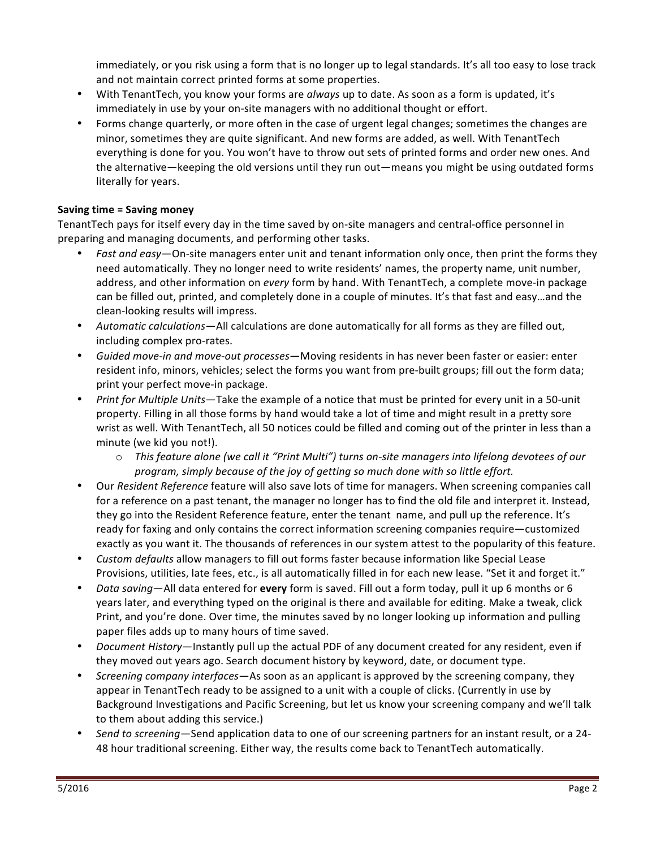immediately, or you risk using a form that is no longer up to legal standards. It's all too easy to lose track and not maintain correct printed forms at some properties.

- With TenantTech, you know your forms are *always* up to date. As soon as a form is updated, it's immediately in use by your on-site managers with no additional thought or effort.
- Forms change quarterly, or more often in the case of urgent legal changes; sometimes the changes are minor, sometimes they are quite significant. And new forms are added, as well. With TenantTech everything is done for you. You won't have to throw out sets of printed forms and order new ones. And the alternative—keeping the old versions until they run out—means you might be using outdated forms literally for years.

## **Saving time = Saving money**

TenantTech pays for itself every day in the time saved by on-site managers and central-office personnel in preparing and managing documents, and performing other tasks.

- Fast and easy-On-site managers enter unit and tenant information only once, then print the forms they need automatically. They no longer need to write residents' names, the property name, unit number, address, and other information on *every* form by hand. With TenantTech, a complete move-in package can be filled out, printed, and completely done in a couple of minutes. It's that fast and easy...and the clean-looking results will impress.
- Automatic calculations—All calculations are done automatically for all forms as they are filled out, including complex pro-rates.
- Guided move-in and move-out processes—Moving residents in has never been faster or easier: enter resident info, minors, vehicles; select the forms you want from pre-built groups; fill out the form data; print your perfect move-in package.
- *Print for Multiple Units*—Take the example of a notice that must be printed for every unit in a 50-unit property. Filling in all those forms by hand would take a lot of time and might result in a pretty sore wrist as well. With TenantTech, all 50 notices could be filled and coming out of the printer in less than a minute (we kid you not!).
	- $\circ$  *This feature alone (we call it "Print Multi") turns on-site managers into lifelong devotees of our* program, simply because of the joy of getting so much done with so little effort.
- Our *Resident Reference* feature will also save lots of time for managers. When screening companies call for a reference on a past tenant, the manager no longer has to find the old file and interpret it. Instead, they go into the Resident Reference feature, enter the tenant name, and pull up the reference. It's ready for faxing and only contains the correct information screening companies require—customized exactly as you want it. The thousands of references in our system attest to the popularity of this feature.
- *Custom defaults* allow managers to fill out forms faster because information like Special Lease Provisions, utilities, late fees, etc., is all automatically filled in for each new lease. "Set it and forget it."
- *Data saving*—All data entered for every form is saved. Fill out a form today, pull it up 6 months or 6 years later, and everything typed on the original is there and available for editing. Make a tweak, click Print, and you're done. Over time, the minutes saved by no longer looking up information and pulling paper files adds up to many hours of time saved.
- *Document History*—Instantly pull up the actual PDF of any document created for any resident, even if they moved out years ago. Search document history by keyword, date, or document type.
- *Screening company interfaces*—As soon as an applicant is approved by the screening company, they appear in TenantTech ready to be assigned to a unit with a couple of clicks. (Currently in use by Background Investigations and Pacific Screening, but let us know your screening company and we'll talk to them about adding this service.)
- *Send to screening*—Send application data to one of our screening partners for an instant result, or a 24-48 hour traditional screening. Either way, the results come back to TenantTech automatically.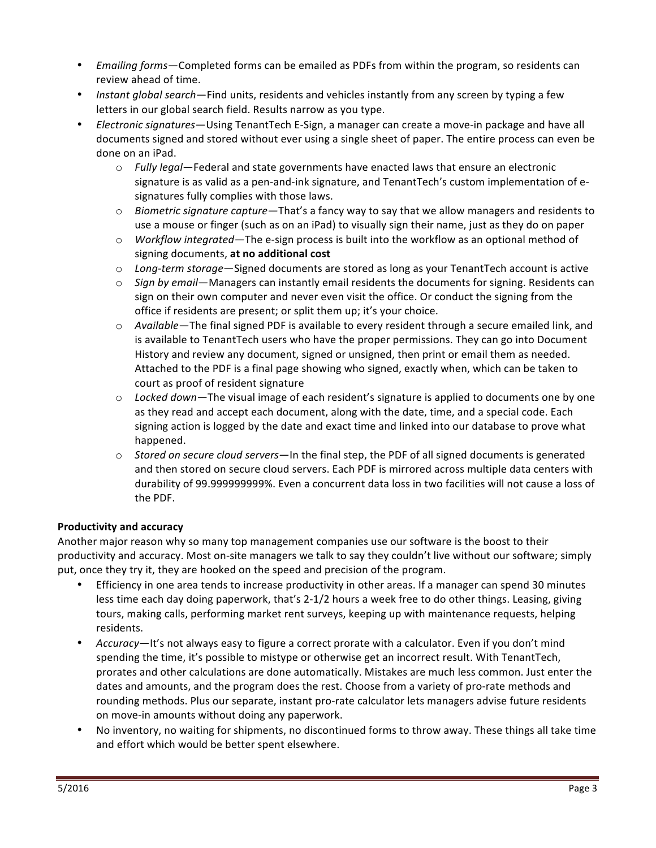- *Emailing forms*—Completed forms can be emailed as PDFs from within the program, so residents can review ahead of time.
- *Instant global search*—Find units, residents and vehicles instantly from any screen by typing a few letters in our global search field. Results narrow as you type.
- *Electronic signatures*—Using TenantTech E-Sign, a manager can create a move-in package and have all documents signed and stored without ever using a single sheet of paper. The entire process can even be done on an iPad.
	- $\circ$  *Fully legal*—Federal and state governments have enacted laws that ensure an electronic signature is as valid as a pen-and-ink signature, and TenantTech's custom implementation of esignatures fully complies with those laws.
	- $\circ$  *Biometric signature capture*—That's a fancy way to say that we allow managers and residents to use a mouse or finger (such as on an iPad) to visually sign their name, just as they do on paper
	- $\circ$  *Workflow integrated*—The e-sign process is built into the workflow as an optional method of signing documents, at no additional cost
	- Long-term storage—Signed documents are stored as long as your TenantTech account is active
	- o *Sign by email*—Managers can instantly email residents the documents for signing. Residents can sign on their own computer and never even visit the office. Or conduct the signing from the office if residents are present; or split them up; it's your choice.
	- o *Available*—The final signed PDF is available to every resident through a secure emailed link, and is available to TenantTech users who have the proper permissions. They can go into Document History and review any document, signed or unsigned, then print or email them as needed. Attached to the PDF is a final page showing who signed, exactly when, which can be taken to court as proof of resident signature
	- $\circ$  *Locked down*—The visual image of each resident's signature is applied to documents one by one as they read and accept each document, along with the date, time, and a special code. Each signing action is logged by the date and exact time and linked into our database to prove what happened.
	- $\circ$  *Stored* on secure cloud servers—In the final step, the PDF of all signed documents is generated and then stored on secure cloud servers. Each PDF is mirrored across multiple data centers with durability of 99.999999999%. Even a concurrent data loss in two facilities will not cause a loss of the PDF.

## **Productivity and accuracy**

Another major reason why so many top management companies use our software is the boost to their productivity and accuracy. Most on-site managers we talk to say they couldn't live without our software; simply put, once they try it, they are hooked on the speed and precision of the program.

- Efficiency in one area tends to increase productivity in other areas. If a manager can spend 30 minutes less time each day doing paperwork, that's 2-1/2 hours a week free to do other things. Leasing, giving tours, making calls, performing market rent surveys, keeping up with maintenance requests, helping residents.
- Accuracy-It's not always easy to figure a correct prorate with a calculator. Even if you don't mind spending the time, it's possible to mistype or otherwise get an incorrect result. With TenantTech, prorates and other calculations are done automatically. Mistakes are much less common. Just enter the dates and amounts, and the program does the rest. Choose from a variety of pro-rate methods and rounding methods. Plus our separate, instant pro-rate calculator lets managers advise future residents on move-in amounts without doing any paperwork.
- No inventory, no waiting for shipments, no discontinued forms to throw away. These things all take time and effort which would be better spent elsewhere.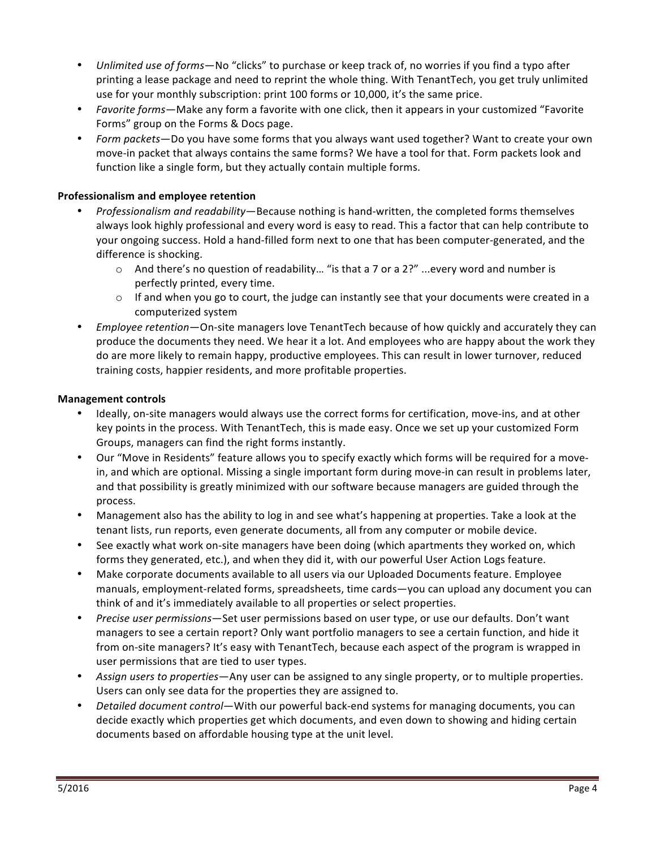- *Unlimited use of forms*—No "clicks" to purchase or keep track of, no worries if you find a typo after printing a lease package and need to reprint the whole thing. With TenantTech, you get truly unlimited use for your monthly subscription: print 100 forms or 10,000, it's the same price.
- *Favorite forms*—Make any form a favorite with one click, then it appears in your customized "Favorite" Forms" group on the Forms & Docs page.
- Form packets—Do you have some forms that you always want used together? Want to create your own move-in packet that always contains the same forms? We have a tool for that. Form packets look and function like a single form, but they actually contain multiple forms.

## **Professionalism and employee retention**

- *Professionalism and readability*—Because nothing is hand-written, the completed forms themselves always look highly professional and every word is easy to read. This a factor that can help contribute to your ongoing success. Hold a hand-filled form next to one that has been computer-generated, and the difference is shocking.
	- $\circ$  And there's no question of readability... "is that a 7 or a 2?" ...every word and number is perfectly printed, every time.
	- o If and when you go to court, the judge can instantly see that your documents were created in a computerized system
- *Employee retention*—On-site managers love TenantTech because of how quickly and accurately they can produce the documents they need. We hear it a lot. And employees who are happy about the work they do are more likely to remain happy, productive employees. This can result in lower turnover, reduced training costs, happier residents, and more profitable properties.

### **Management controls**

- Ideally, on-site managers would always use the correct forms for certification, move-ins, and at other key points in the process. With TenantTech, this is made easy. Once we set up your customized Form Groups, managers can find the right forms instantly.
- Our "Move in Residents" feature allows you to specify exactly which forms will be required for a movein, and which are optional. Missing a single important form during move-in can result in problems later, and that possibility is greatly minimized with our software because managers are guided through the process.
- Management also has the ability to log in and see what's happening at properties. Take a look at the tenant lists, run reports, even generate documents, all from any computer or mobile device.
- See exactly what work on-site managers have been doing (which apartments they worked on, which forms they generated, etc.), and when they did it, with our powerful User Action Logs feature.
- Make corporate documents available to all users via our Uploaded Documents feature. Employee manuals, employment-related forms, spreadsheets, time cards—you can upload any document you can think of and it's immediately available to all properties or select properties.
- *Precise user permissions*—Set user permissions based on user type, or use our defaults. Don't want managers to see a certain report? Only want portfolio managers to see a certain function, and hide it from on-site managers? It's easy with TenantTech, because each aspect of the program is wrapped in user permissions that are tied to user types.
- Assign users to properties—Any user can be assigned to any single property, or to multiple properties. Users can only see data for the properties they are assigned to.
- *Detailed document control*—With our powerful back-end systems for managing documents, you can decide exactly which properties get which documents, and even down to showing and hiding certain documents based on affordable housing type at the unit level.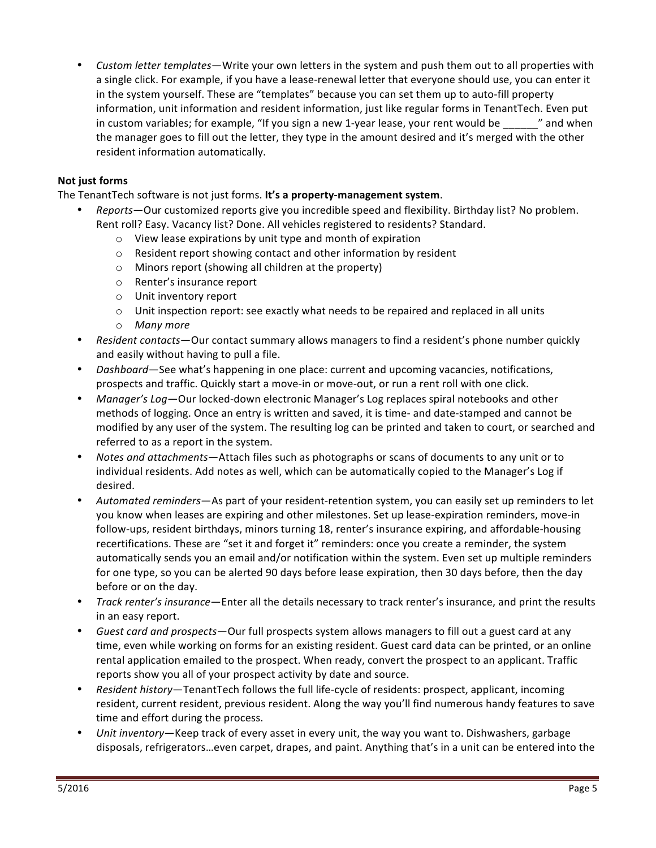*Custom letter templates*—Write your own letters in the system and push them out to all properties with a single click. For example, if you have a lease-renewal letter that everyone should use, you can enter it in the system yourself. These are "templates" because you can set them up to auto-fill property information, unit information and resident information, just like regular forms in TenantTech. Even put in custom variables; for example, "If you sign a new 1-year lease, your rent would be \_\_\_\_\_\_\_" and when the manager goes to fill out the letter, they type in the amount desired and it's merged with the other resident information automatically.

## **Not just forms**

The TenantTech software is not just forms. It's a property-management system.

- Reports-Our customized reports give you incredible speed and flexibility. Birthday list? No problem. Rent roll? Easy. Vacancy list? Done. All vehicles registered to residents? Standard.
	- $\circ$  View lease expirations by unit type and month of expiration
	- $\circ$  Resident report showing contact and other information by resident
	- $\circ$  Minors report (showing all children at the property)
	- o Renter's insurance report
	- $\circ$  Unit inventory report
	- $\circ$  Unit inspection report: see exactly what needs to be repaired and replaced in all units
	- o *Many more*
- Resident contacts—Our contact summary allows managers to find a resident's phone number quickly and easily without having to pull a file.
- *Dashboard*—See what's happening in one place: current and upcoming vacancies, notifications, prospects and traffic. Quickly start a move-in or move-out, or run a rent roll with one click.
- *Manager's Log*—Our locked-down electronic Manager's Log replaces spiral notebooks and other methods of logging. Once an entry is written and saved, it is time- and date-stamped and cannot be modified by any user of the system. The resulting log can be printed and taken to court, or searched and referred to as a report in the system.
- *Notes and attachments*—Attach files such as photographs or scans of documents to any unit or to individual residents. Add notes as well, which can be automatically copied to the Manager's Log if desired.
- Automated reminders—As part of your resident-retention system, you can easily set up reminders to let you know when leases are expiring and other milestones. Set up lease-expiration reminders, move-in follow-ups, resident birthdays, minors turning 18, renter's insurance expiring, and affordable-housing recertifications. These are "set it and forget it" reminders: once you create a reminder, the system automatically sends you an email and/or notification within the system. Even set up multiple reminders for one type, so you can be alerted 90 days before lease expiration, then 30 days before, then the day before or on the day.
- *Track renter's insurance*—Enter all the details necessary to track renter's insurance, and print the results in an easy report.
- *Guest card and prospects*—Our full prospects system allows managers to fill out a guest card at any time, even while working on forms for an existing resident. Guest card data can be printed, or an online rental application emailed to the prospect. When ready, convert the prospect to an applicant. Traffic reports show you all of your prospect activity by date and source.
- *Resident history*—TenantTech follows the full life-cycle of residents: prospect, applicant, incoming resident, current resident, previous resident. Along the way you'll find numerous handy features to save time and effort during the process.
- Unit inventory-Keep track of every asset in every unit, the way you want to. Dishwashers, garbage disposals, refrigerators...even carpet, drapes, and paint. Anything that's in a unit can be entered into the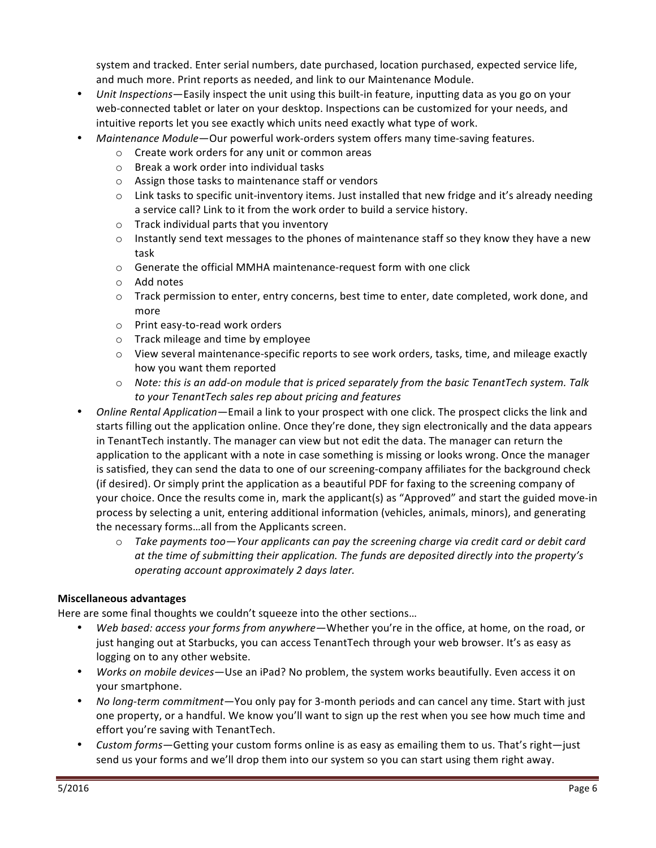system and tracked. Enter serial numbers, date purchased, location purchased, expected service life, and much more. Print reports as needed, and link to our Maintenance Module.

- *Unit Inspections*—Easily inspect the unit using this built-in feature, inputting data as you go on your web-connected tablet or later on your desktop. Inspections can be customized for your needs, and intuitive reports let you see exactly which units need exactly what type of work.
	- Maintenance Module-Our powerful work-orders system offers many time-saving features.
		- $\circ$  Create work orders for any unit or common areas
		- $\circ$  Break a work order into individual tasks
		- $\circ$  Assign those tasks to maintenance staff or vendors
		- $\circ$  Link tasks to specific unit-inventory items. Just installed that new fridge and it's already needing a service call? Link to it from the work order to build a service history.
		- $\circ$  Track individual parts that you inventory
		- $\circ$  Instantly send text messages to the phones of maintenance staff so they know they have a new task
		- $\circ$  Generate the official MMHA maintenance-request form with one click
		- o Add notes
		- $\circ$  Track permission to enter, entry concerns, best time to enter, date completed, work done, and more
		- $\circ$  Print easy-to-read work orders
		- $\circ$  Track mileage and time by employee
		- $\circ$  View several maintenance-specific reports to see work orders, tasks, time, and mileage exactly how you want them reported
		- o Note: this is an add-on module that is priced separately from the basic TenantTech system. Talk to your TenantTech sales rep about pricing and features
- *Online Rental Application*—Email a link to your prospect with one click. The prospect clicks the link and starts filling out the application online. Once they're done, they sign electronically and the data appears in TenantTech instantly. The manager can view but not edit the data. The manager can return the application to the applicant with a note in case something is missing or looks wrong. Once the manager is satisfied, they can send the data to one of our screening-company affiliates for the background check (if desired). Or simply print the application as a beautiful PDF for faxing to the screening company of your choice. Once the results come in, mark the applicant(s) as "Approved" and start the guided move-in process by selecting a unit, entering additional information (vehicles, animals, minors), and generating the necessary forms...all from the Applicants screen.
	- $\circ$  *Take payments too—Your applicants can pay the screening charge via credit card or debit card at* the time of submitting their application. The funds are deposited directly into the property's *operating account approximately 2 days later.*

## **Miscellaneous advantages**

Here are some final thoughts we couldn't squeeze into the other sections...

- *Web based: access your forms from anywhere*—Whether you're in the office, at home, on the road, or just hanging out at Starbucks, you can access TenantTech through your web browser. It's as easy as logging on to any other website.
- *Works on mobile devices*—Use an iPad? No problem, the system works beautifully. Even access it on your smartphone.
- *No long-term commitment*—You only pay for 3-month periods and can cancel any time. Start with just one property, or a handful. We know you'll want to sign up the rest when you see how much time and effort you're saving with TenantTech.
- *Custom forms—*Getting your custom forms online is as easy as emailing them to us. That's right—just send us your forms and we'll drop them into our system so you can start using them right away.